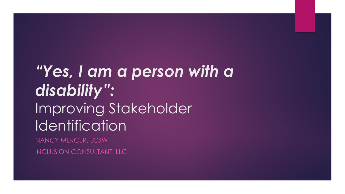# *"Yes, I am a person with a disability":* Improving Stakeholder **Identification** NANCY MERCER, LCSW

INCLUSION CONSULTANT, LLC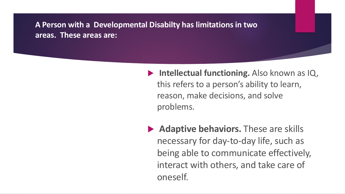#### **A Person with a Developmental Disabilty has limitations in two areas. These areas are:**

- **Intellectual functioning.** Also known as IQ, this refers to a person's ability to learn, reason, make decisions, and solve problems.
- **Adaptive behaviors.** These are skills necessary for day-to-day life, such as being able to communicate effectively, interact with others, and take care of oneself.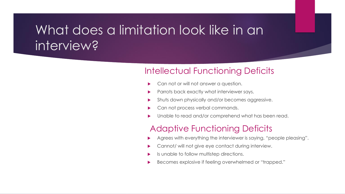## What does a limitation look like in an interview?

#### Intellectual Functioning Deficits

- Can not or will not answer a question.
- Parrots back exactly what interviewer says.
- Shuts down physically and/or becomes aggressive.
- Can not process verbal commands.
- Unable to read and/or comprehend what has been read.

#### Adaptive Functioning Deficits

- Agrees with everything the interviewer is saying, "people pleasing".
- Cannot/ will not give eye contact during interview.
- Is unable to follow multistep directions.
- Becomes explosive if feeling overwhelmed or "trapped."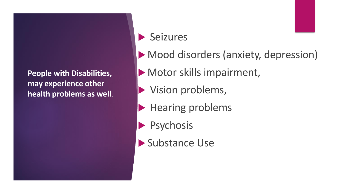**People with Disabilities, may experience other health problems as well.**

### Seizures

- Mood disorders (anxiety, depression)
- Motor skills impairment,
	- Vision problems,
- Hearing problems
- Psychosis
- Substance Use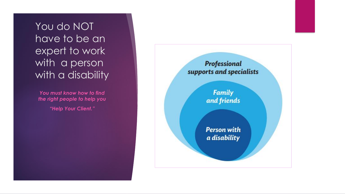You do NOT have to be an expert to work with a person with a disability

*You must know how to find the right people to help you "Help Your Client."*

Professional supports and specialists

> **Family** and friends

> **Person with** a disability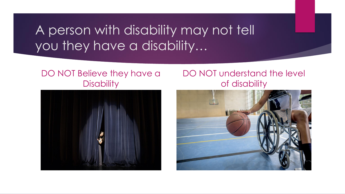## A person with disability may not tell you they have a disability…

#### DO NOT Believe they have a **Disability**

#### DO NOT understand the level of disability



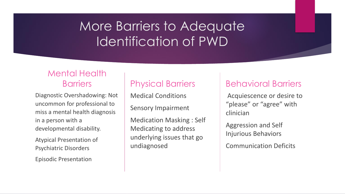# More Barriers to Adequate Identification of PWD

#### Mental Health **Barriers**

Diagnostic Overshadowing: Not uncommon for professional to miss a mental health diagnosis in a person with a developmental disability.

Atypical Presentation of Psychiatric Disorders

Episodic Presentation

### Physical Barriers

Medical Conditions

Sensory Impairment

Medication Masking : Self Medicating to address underlying issues that go undiagnosed

#### Behavioral Barriers

Acquiescence or desire to "please" or "agree" with clinician

Aggression and Self Injurious Behaviors

Communication Deficits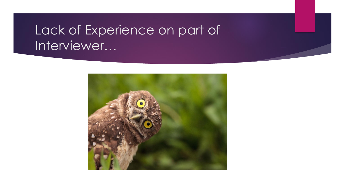# Lack of Experience on part of Interviewer…

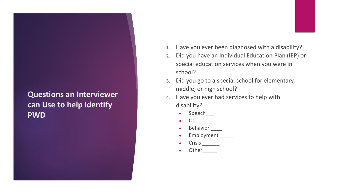#### **Questions an Interviewer can Use to help identify PWD**

- 1. Have you ever been diagnosed with a disability?
- 2. Did you have an Individual Education Plan (IEP) or special education services when you were in school?
- 3. Did you go to a special school for elementary, middle, or high school?
- 4. Have you ever had services to help with disability?
	- Speech
	- $\bullet$  OT \_\_\_\_\_\_\_\_
	- Behavior
	- Employment
	- $\bullet$  Crisis  $\_\_\_\_\_\_\_\_\_\_\_\_\_$
	- Other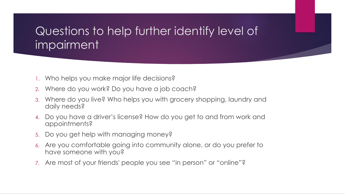### Questions to help further identify level of impairment

- 1. Who helps you make major life decisions?
- 2. Where do you work? Do you have a job coach?
- 3. Where do you live? Who helps you with grocery shopping, laundry and daily needs?
- 4. Do you have a driver's license? How do you get to and from work and appointments?
- 5. Do you get help with managing money?
- 6. Are you comfortable going into community alone, or do you prefer to have someone with you?
- 7. Are most of your friends' people you see "in person" or "online"?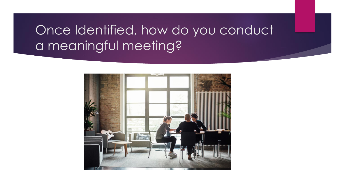# Once Identified, how do you conduct a meaningful meeting?

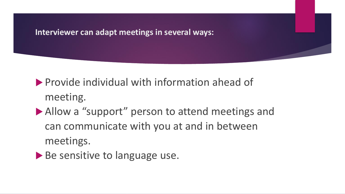#### **Interviewer can adapt meetings in several ways:**

**Provide individual with information ahead of** meeting.

- Allow a "support" person to attend meetings and can communicate with you at and in between meetings.
- Be sensitive to language use.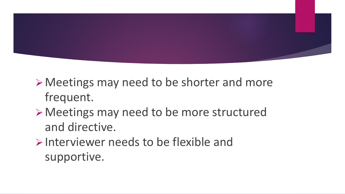

➢Meetings may need to be shorter and more frequent.

### ➢Meetings may need to be more structured and directive.

 $\triangleright$  Interviewer needs to be flexible and supportive.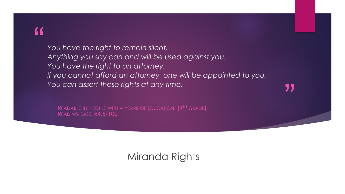### "

*You have the right to remain silent. Anything you say can and will be used against you. You have the right to an attorney. If you cannot afford an attorney, one will be appointed to you. You can assert these rights at any time.*

"

READABLE BY PEOPLE WITH 4 YEARS OF EDUCATION. (4TH GRADE) READING EASE: 84.5/100

### Miranda Rights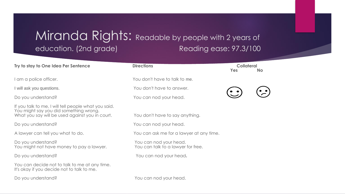### Miranda Rights: Readable by people with 2 years of education. (2nd grade) Reading ease: 97.3/100

| Try to stay to One Idea Per Sentence                                                                                                              | <b>Directions</b>                                            | <b>Collateral</b><br><b>Yes</b> | <b>No</b> |
|---------------------------------------------------------------------------------------------------------------------------------------------------|--------------------------------------------------------------|---------------------------------|-----------|
| am a police officer.                                                                                                                              | You don't have to talk to me.                                |                                 |           |
| I will ask you questions.                                                                                                                         | You don't have to answer.                                    |                                 |           |
| Do you understand?                                                                                                                                | You can nod your head.                                       |                                 |           |
| If you talk to me, I will tell people what you said.<br>You might say you did something wrong.<br>What you say will be used against you in court. | You don't have to say anything.                              |                                 |           |
| Do you understand?                                                                                                                                | You can nod your head.                                       |                                 |           |
| A lawyer can tell you what to do.                                                                                                                 | You can ask me for a lawyer at any time.                     |                                 |           |
| Do you understand?<br>You might not have money to pay a lawyer.                                                                                   | You can nod your head.<br>You can talk to a lawyer for free. |                                 |           |
| Do you understand?                                                                                                                                | You can nod your head.                                       |                                 |           |
| You can decide not to talk to me at any time.<br>It's okay if you decide not to talk to me.                                                       |                                                              |                                 |           |
| Do you understand?                                                                                                                                | You can nod your head.                                       |                                 |           |